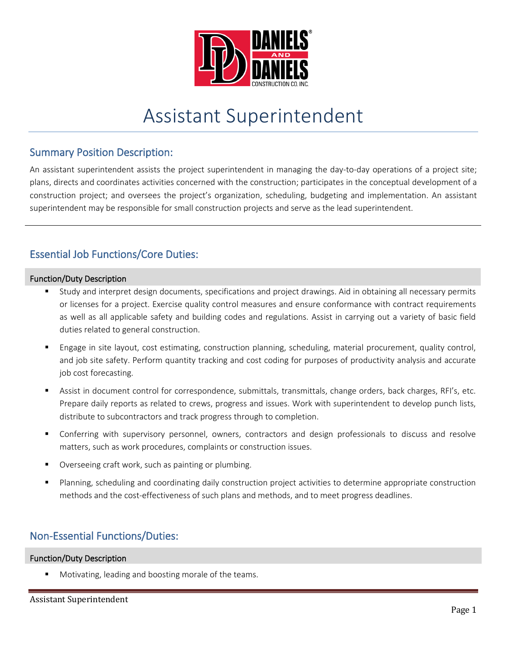

# Assistant Superintendent

### Summary Position Description:

An assistant superintendent assists the project superintendent in managing the day-to-day operations of a project site; plans, directs and coordinates activities concerned with the construction; participates in the conceptual development of a construction project; and oversees the project's organization, scheduling, budgeting and implementation. An assistant superintendent may be responsible for small construction projects and serve as the lead superintendent.

# Essential Job Functions/Core Duties:

#### Function/Duty Description

- Study and interpret design documents, specifications and project drawings. Aid in obtaining all necessary permits or licenses for a project. Exercise quality control measures and ensure conformance with contract requirements as well as all applicable safety and building codes and regulations. Assist in carrying out a variety of basic field duties related to general construction.
- Engage in site layout, cost estimating, construction planning, scheduling, material procurement, quality control, and job site safety. Perform quantity tracking and cost coding for purposes of productivity analysis and accurate job cost forecasting.
- Assist in document control for correspondence, submittals, transmittals, change orders, back charges, RFI's, etc. Prepare daily reports as related to crews, progress and issues. Work with superintendent to develop punch lists, distribute to subcontractors and track progress through to completion.
- Conferring with supervisory personnel, owners, contractors and design professionals to discuss and resolve matters, such as work procedures, complaints or construction issues.
- Overseeing craft work, such as painting or plumbing.
- Planning, scheduling and coordinating daily construction project activities to determine appropriate construction methods and the cost-effectiveness of such plans and methods, and to meet progress deadlines.

# Non-Essential Functions/Duties:

#### Function/Duty Description

Motivating, leading and boosting morale of the teams.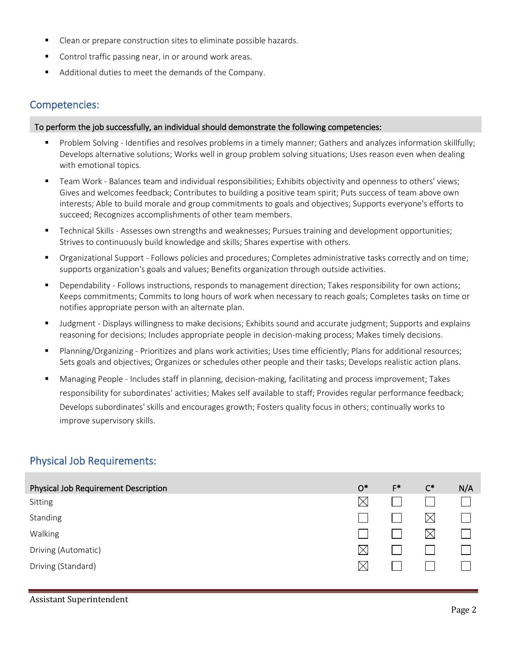- Clean or prepare construction sites to eliminate possible hazards.
- Control traffic passing near, in or around work areas.
- Additional duties to meet the demands of the Company.

### Competencies:

#### To perform the job successfully, an individual should demonstrate the following competencies:

- Problem Solving Identifies and resolves problems in a timely manner; Gathers and analyzes information skillfully; Develops alternative solutions; Works well in group problem solving situations; Uses reason even when dealing with emotional topics.
- Team Work Balances team and individual responsibilities; Exhibits objectivity and openness to others' views; Gives and welcomes feedback; Contributes to building a positive team spirit; Puts success of team above own interests; Able to build morale and group commitments to goals and objectives; Supports everyone's efforts to succeed; Recognizes accomplishments of other team members.
- Technical Skills Assesses own strengths and weaknesses; Pursues training and development opportunities; Strives to continuously build knowledge and skills; Shares expertise with others.
- Organizational Support Follows policies and procedures; Completes administrative tasks correctly and on time; supports organization's goals and values; Benefits organization through outside activities.
- Dependability Follows instructions, responds to management direction; Takes responsibility for own actions; Keeps commitments; Commits to long hours of work when necessary to reach goals; Completes tasks on time or notifies appropriate person with an alternate plan.
- Judgment Displays willingness to make decisions; Exhibits sound and accurate judgment; Supports and explains reasoning for decisions; Includes appropriate people in decision-making process; Makes timely decisions.
- Planning/Organizing Prioritizes and plans work activities; Uses time efficiently; Plans for additional resources; Sets goals and objectives; Organizes or schedules other people and their tasks; Develops realistic action plans.
- Managing People Includes staff in planning, decision-making, facilitating and process improvement; Takes responsibility for subordinates' activities; Makes self available to staff; Provides regular performance feedback; Develops subordinates' skills and encourages growth; Fosters quality focus in others; continually works to improve supervisory skills.

# Physical Job Requirements:

| <b>Physical Job Requirement Description</b> | $O^*$       | $F^*$ | $C^*$       | N/A |
|---------------------------------------------|-------------|-------|-------------|-----|
| Sitting                                     | $\bowtie$   |       |             |     |
| Standing                                    |             |       | $\boxtimes$ |     |
| Walking                                     |             |       | $\boxtimes$ |     |
| Driving (Automatic)                         | $\boxtimes$ |       |             |     |
| Driving (Standard)                          | $\bowtie$   |       |             |     |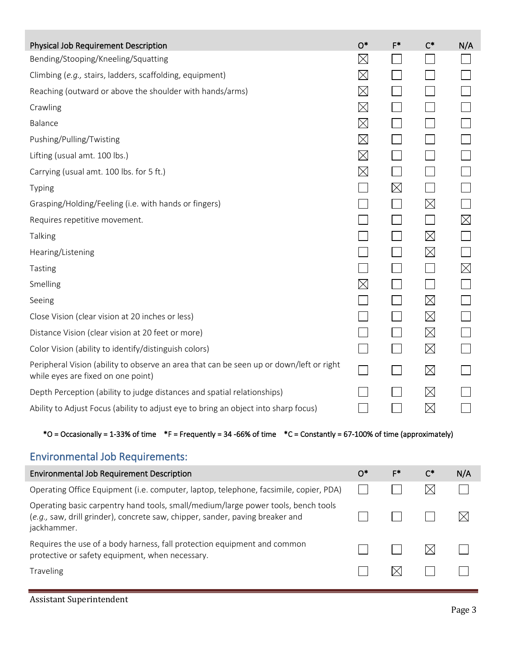| Physical Job Requirement Description                                                                                          | $O*$                     | $F^*$                       | $C^*$       | N/A         |
|-------------------------------------------------------------------------------------------------------------------------------|--------------------------|-----------------------------|-------------|-------------|
| Bending/Stooping/Kneeling/Squatting                                                                                           | $\boxtimes$              | $\mathcal{L}^{\text{max}}$  |             |             |
| Climbing (e.g., stairs, ladders, scaffolding, equipment)                                                                      | $\boxtimes$              | $\sim 10$                   |             |             |
| Reaching (outward or above the shoulder with hands/arms)                                                                      | $\boxtimes$              |                             |             |             |
| Crawling                                                                                                                      | $\boxtimes$              |                             |             |             |
| Balance                                                                                                                       | $\boxtimes$              |                             |             |             |
| Pushing/Pulling/Twisting                                                                                                      | $\boxtimes$              |                             |             |             |
| Lifting (usual amt. 100 lbs.)                                                                                                 | $\boxtimes$              | $\blacksquare$              |             |             |
| Carrying (usual amt. 100 lbs. for 5 ft.)                                                                                      | $\boxtimes$              | $\vert \ \ \vert$           |             |             |
| Typing                                                                                                                        |                          | $\times$                    |             |             |
| Grasping/Holding/Feeling (i.e. with hands or fingers)                                                                         |                          |                             | $\boxtimes$ |             |
| Requires repetitive movement.                                                                                                 |                          |                             |             | $\boxtimes$ |
| Talking                                                                                                                       |                          | $\overline{\phantom{0}}$    | $\boxtimes$ |             |
| Hearing/Listening                                                                                                             |                          | $\blacksquare$              | $\boxtimes$ |             |
| Tasting                                                                                                                       |                          | $\blacksquare$              |             | $\boxtimes$ |
| Smelling                                                                                                                      | $\boxtimes$              | $\blacksquare$              | $\sim$      |             |
| Seeing                                                                                                                        |                          | $\mathcal{L}_{\mathcal{A}}$ | $\boxtimes$ |             |
| Close Vision (clear vision at 20 inches or less)                                                                              |                          |                             | $\boxtimes$ |             |
| Distance Vision (clear vision at 20 feet or more)                                                                             |                          |                             | $\boxtimes$ |             |
| Color Vision (ability to identify/distinguish colors)                                                                         |                          | $\mathsf{L}$                | $\boxtimes$ |             |
| Peripheral Vision (ability to observe an area that can be seen up or down/left or right<br>while eyes are fixed on one point) | $\overline{\phantom{0}}$ | $\blacksquare$              | $\boxtimes$ |             |
| Depth Perception (ability to judge distances and spatial relationships)                                                       |                          |                             | $\boxtimes$ |             |
| Ability to Adjust Focus (ability to adjust eye to bring an object into sharp focus)                                           |                          |                             | $\boxtimes$ |             |

### $*$ O = Occasionally = 1-33% of time  $*$ F = Frequently = 34 -66% of time  $*$ C = Constantly = 67-100% of time (approximately)

# Environmental Job Requirements:

| <b>Environmental Job Requirement Description</b>                                                                                                                                  | Ο* | F* | $C^*$ | N/A |
|-----------------------------------------------------------------------------------------------------------------------------------------------------------------------------------|----|----|-------|-----|
| Operating Office Equipment (i.e. computer, laptop, telephone, facsimile, copier, PDA)                                                                                             |    |    |       |     |
| Operating basic carpentry hand tools, small/medium/large power tools, bench tools<br>(e.g., saw, drill grinder), concrete saw, chipper, sander, paving breaker and<br>jackhammer. |    |    |       |     |
| Requires the use of a body harness, fall protection equipment and common<br>protective or safety equipment, when necessary.                                                       |    |    |       |     |
| <b>Traveling</b>                                                                                                                                                                  |    |    |       |     |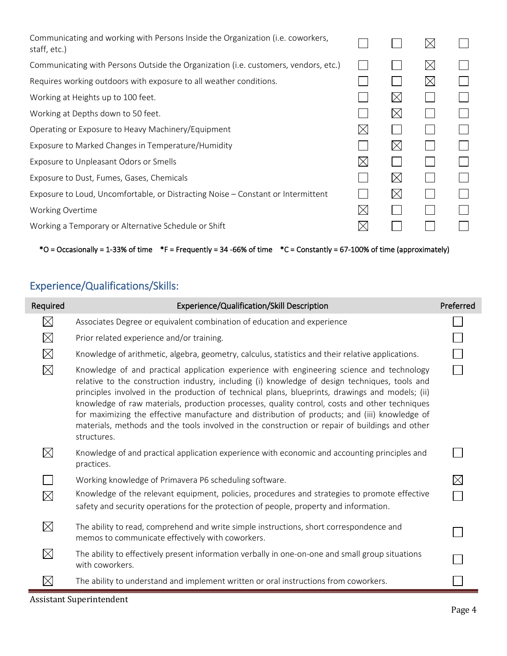| Communicating and working with Persons Inside the Organization ( <i>i.e. coworkers</i> ,<br>staff, etc.) |             |             | $\boxtimes$ |  |
|----------------------------------------------------------------------------------------------------------|-------------|-------------|-------------|--|
| Communicating with Persons Outside the Organization (i.e. customers, vendors, etc.)                      |             |             | $\boxtimes$ |  |
| Requires working outdoors with exposure to all weather conditions.                                       |             |             | $\boxtimes$ |  |
| Working at Heights up to 100 feet.                                                                       |             | $\boxtimes$ |             |  |
| Working at Depths down to 50 feet.                                                                       |             | $\boxtimes$ |             |  |
| Operating or Exposure to Heavy Machinery/Equipment                                                       | $\boxtimes$ |             |             |  |
| Exposure to Marked Changes in Temperature/Humidity                                                       |             | $\boxtimes$ |             |  |
| Exposure to Unpleasant Odors or Smells                                                                   | $\times$    |             |             |  |
| Exposure to Dust, Fumes, Gases, Chemicals                                                                |             | $\boxtimes$ |             |  |
| Exposure to Loud, Uncomfortable, or Distracting Noise – Constant or Intermittent                         |             | $\boxtimes$ |             |  |
| Working Overtime                                                                                         | $\boxtimes$ |             |             |  |
| Working a Temporary or Alternative Schedule or Shift                                                     | $\times$    |             |             |  |

\*O = Occasionally = 1-33% of time \*F = Frequently = 34 -66% of time \*C = Constantly = 67-100% of time (approximately)

# Experience/Qualifications/Skills:

| Required    | Experience/Qualification/Skill Description                                                                                                                                                                                                                                                                                                                                                                                                                                                                                                                                                                        | Preferred   |
|-------------|-------------------------------------------------------------------------------------------------------------------------------------------------------------------------------------------------------------------------------------------------------------------------------------------------------------------------------------------------------------------------------------------------------------------------------------------------------------------------------------------------------------------------------------------------------------------------------------------------------------------|-------------|
| $\boxtimes$ | Associates Degree or equivalent combination of education and experience                                                                                                                                                                                                                                                                                                                                                                                                                                                                                                                                           |             |
| $\boxtimes$ | Prior related experience and/or training.                                                                                                                                                                                                                                                                                                                                                                                                                                                                                                                                                                         |             |
| $\boxtimes$ | Knowledge of arithmetic, algebra, geometry, calculus, statistics and their relative applications.                                                                                                                                                                                                                                                                                                                                                                                                                                                                                                                 |             |
| $\boxtimes$ | Knowledge of and practical application experience with engineering science and technology<br>relative to the construction industry, including (i) knowledge of design techniques, tools and<br>principles involved in the production of technical plans, blueprints, drawings and models; (ii)<br>knowledge of raw materials, production processes, quality control, costs and other techniques<br>for maximizing the effective manufacture and distribution of products; and (iii) knowledge of<br>materials, methods and the tools involved in the construction or repair of buildings and other<br>structures. |             |
| $\boxtimes$ | Knowledge of and practical application experience with economic and accounting principles and<br>practices.                                                                                                                                                                                                                                                                                                                                                                                                                                                                                                       |             |
|             | Working knowledge of Primavera P6 scheduling software.                                                                                                                                                                                                                                                                                                                                                                                                                                                                                                                                                            | $\boxtimes$ |
| $\boxtimes$ | Knowledge of the relevant equipment, policies, procedures and strategies to promote effective<br>safety and security operations for the protection of people, property and information.                                                                                                                                                                                                                                                                                                                                                                                                                           |             |
| $\boxtimes$ | The ability to read, comprehend and write simple instructions, short correspondence and<br>memos to communicate effectively with coworkers.                                                                                                                                                                                                                                                                                                                                                                                                                                                                       |             |
| $\boxtimes$ | The ability to effectively present information verbally in one-on-one and small group situations<br>with coworkers.                                                                                                                                                                                                                                                                                                                                                                                                                                                                                               |             |
| $\times$    | The ability to understand and implement written or oral instructions from coworkers.                                                                                                                                                                                                                                                                                                                                                                                                                                                                                                                              |             |

Assistant Superintendent